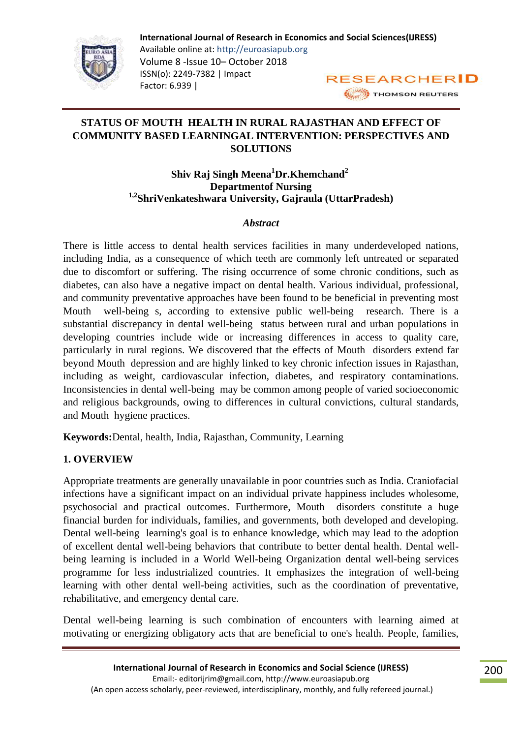

# **STATUS OF MOUTH HEALTH IN RURAL RAJASTHAN AND EFFECT OF COMMUNITY BASED LEARNINGAL INTERVENTION: PERSPECTIVES AND SOLUTIONS**

## **Shiv Raj Singh Meena<sup>1</sup>Dr.Khemchand<sup>2</sup> Departmentof Nursing 1,2ShriVenkateshwara University, Gajraula (UttarPradesh)**

#### *Abstract*

There is little access to dental health services facilities in many underdeveloped nations, including India, as a consequence of which teeth are commonly left untreated or separated due to discomfort or suffering. The rising occurrence of some chronic conditions, such as diabetes, can also have a negative impact on dental health. Various individual, professional, and community preventative approaches have been found to be beneficial in preventing most Mouth well-being s, according to extensive public well-being research. There is a substantial discrepancy in dental well-being status between rural and urban populations in developing countries include wide or increasing differences in access to quality care, particularly in rural regions. We discovered that the effects of Mouth disorders extend far beyond Mouth depression and are highly linked to key chronic infection issues in Rajasthan, including as weight, cardiovascular infection, diabetes, and respiratory contaminations. Inconsistencies in dental well-being may be common among people of varied socioeconomic and religious backgrounds, owing to differences in cultural convictions, cultural standards, and Mouth hygiene practices.

**Keywords:**Dental, health, India, Rajasthan, Community, Learning

## **1. OVERVIEW**

Appropriate treatments are generally unavailable in poor countries such as India. Craniofacial infections have a significant impact on an individual private happiness includes wholesome, psychosocial and practical outcomes. Furthermore, Mouth disorders constitute a huge financial burden for individuals, families, and governments, both developed and developing. Dental well-being learning's goal is to enhance knowledge, which may lead to the adoption of excellent dental well-being behaviors that contribute to better dental health. Dental wellbeing learning is included in a World Well-being Organization dental well-being services programme for less industrialized countries. It emphasizes the integration of well-being learning with other dental well-being activities, such as the coordination of preventative, rehabilitative, and emergency dental care.

Dental well-being learning is such combination of encounters with learning aimed at motivating or energizing obligatory acts that are beneficial to one's health. People, families,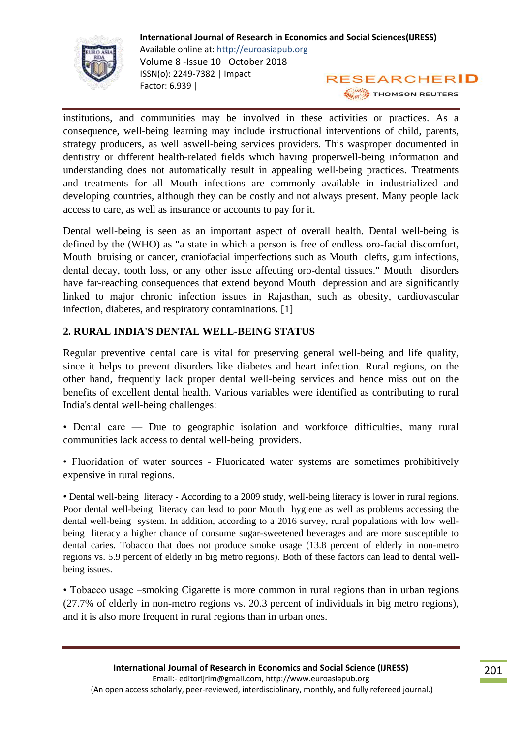

institutions, and communities may be involved in these activities or practices. As a consequence, well-being learning may include instructional interventions of child, parents, strategy producers, as well aswell-being services providers. This wasproper documented in dentistry or different health-related fields which having properwell-being information and understanding does not automatically result in appealing well-being practices. Treatments and treatments for all Mouth infections are commonly available in industrialized and developing countries, although they can be costly and not always present. Many people lack access to care, as well as insurance or accounts to pay for it.

Dental well-being is seen as an important aspect of overall health. Dental well-being is defined by the (WHO) as "a state in which a person is free of endless oro-facial discomfort, Mouth bruising or cancer, craniofacial imperfections such as Mouth clefts, gum infections, dental decay, tooth loss, or any other issue affecting oro-dental tissues." Mouth disorders have far-reaching consequences that extend beyond Mouth depression and are significantly linked to major chronic infection issues in Rajasthan, such as obesity, cardiovascular infection, diabetes, and respiratory contaminations. [1]

## **2. RURAL INDIA'S DENTAL WELL-BEING STATUS**

Regular preventive dental care is vital for preserving general well-being and life quality, since it helps to prevent disorders like diabetes and heart infection. Rural regions, on the other hand, frequently lack proper dental well-being services and hence miss out on the benefits of excellent dental health. Various variables were identified as contributing to rural India's dental well-being challenges:

- Dental care Due to geographic isolation and workforce difficulties, many rural communities lack access to dental well-being providers.
- Fluoridation of water sources Fluoridated water systems are sometimes prohibitively expensive in rural regions.

• Dental well-being literacy - According to a 2009 study, well-being literacy is lower in rural regions. Poor dental well-being literacy can lead to poor Mouth hygiene as well as problems accessing the dental well-being system. In addition, according to a 2016 survey, rural populations with low wellbeing literacy a higher chance of consume sugar-sweetened beverages and are more susceptible to dental caries. Tobacco that does not produce smoke usage (13.8 percent of elderly in non-metro regions vs. 5.9 percent of elderly in big metro regions). Both of these factors can lead to dental wellbeing issues.

• Tobacco usage –smoking Cigarette is more common in rural regions than in urban regions (27.7% of elderly in non-metro regions vs. 20.3 percent of individuals in big metro regions), and it is also more frequent in rural regions than in urban ones.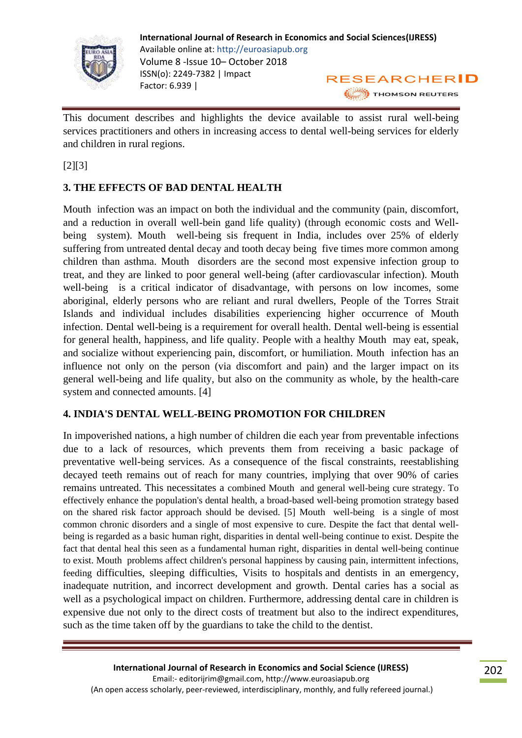

This document describes and highlights the device available to assist rural well-being services practitioners and others in increasing access to dental well-being services for elderly and children in rural regions.

 $[2] [3]$ 

# **3. THE EFFECTS OF BAD DENTAL HEALTH**

Mouth infection was an impact on both the individual and the community (pain, discomfort, and a reduction in overall well-bein gand life quality) (through economic costs and Wellbeing system). Mouth well-being sis frequent in India, includes over 25% of elderly suffering from untreated dental decay and tooth decay being five times more common among children than asthma. Mouth disorders are the second most expensive infection group to treat, and they are linked to poor general well-being (after cardiovascular infection). Mouth well-being is a critical indicator of disadvantage, with persons on low incomes, some aboriginal, elderly persons who are reliant and rural dwellers, People of the Torres Strait Islands and individual includes disabilities experiencing higher occurrence of Mouth infection. Dental well-being is a requirement for overall health. Dental well-being is essential for general health, happiness, and life quality. People with a healthy Mouth may eat, speak, and socialize without experiencing pain, discomfort, or humiliation. Mouth infection has an influence not only on the person (via discomfort and pain) and the larger impact on its general well-being and life quality, but also on the community as whole, by the health-care system and connected amounts. [4]

#### **4. INDIA'S DENTAL WELL-BEING PROMOTION FOR CHILDREN**

In impoverished nations, a high number of children die each year from preventable infections due to a lack of resources, which prevents them from receiving a basic package of preventative well-being services. As a consequence of the fiscal constraints, reestablishing decayed teeth remains out of reach for many countries, implying that over 90% of caries remains untreated. This necessitates a combined Mouth and general well-being cure strategy. To effectively enhance the population's dental health, a broad-based well-being promotion strategy based on the shared risk factor approach should be devised. [5] Mouth well-being is a single of most common chronic disorders and a single of most expensive to cure. Despite the fact that dental wellbeing is regarded as a basic human right, disparities in dental well-being continue to exist. Despite the fact that dental heal this seen as a fundamental human right, disparities in dental well-being continue to exist. Mouth problems affect children's personal happiness by causing pain, intermittent infections, feeding difficulties, sleeping difficulties, Visits to hospitals and dentists in an emergency, inadequate nutrition, and incorrect development and growth. Dental caries has a social as well as a psychological impact on children. Furthermore, addressing dental care in children is expensive due not only to the direct costs of treatment but also to the indirect expenditures, such as the time taken off by the guardians to take the child to the dentist.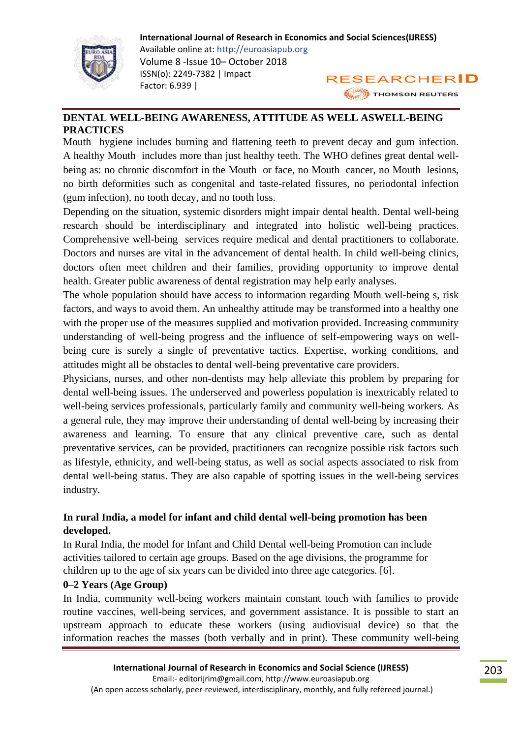

#### **DENTAL WELL-BEING AWARENESS, ATTITUDE AS WELL ASWELL-BEING PRACTICES**

Mouth hygiene includes burning and flattening teeth to prevent decay and gum infection. A healthy Mouth includes more than just healthy teeth. The WHO defines great dental wellbeing as: no chronic discomfort in the Mouth or face, no Mouth cancer, no Mouth lesions, no birth deformities such as congenital and taste-related fissures, no periodontal infection (gum infection), no tooth decay, and no tooth loss.

Depending on the situation, systemic disorders might impair dental health. Dental well-being research should be interdisciplinary and integrated into holistic well-being practices. Comprehensive well-being services require medical and dental practitioners to collaborate. Doctors and nurses are vital in the advancement of dental health. In child well-being clinics, doctors often meet children and their families, providing opportunity to improve dental health. Greater public awareness of dental registration may help early analyses.

The whole population should have access to information regarding Mouth well-being s, risk factors, and ways to avoid them. An unhealthy attitude may be transformed into a healthy one with the proper use of the measures supplied and motivation provided. Increasing community understanding of well-being progress and the influence of self-empowering ways on wellbeing cure is surely a single of preventative tactics. Expertise, working conditions, and attitudes might all be obstacles to dental well-being preventative care providers.

Physicians, nurses, and other non-dentists may help alleviate this problem by preparing for dental well-being issues. The underserved and powerless population is inextricably related to well-being services professionals, particularly family and community well-being workers. As a general rule, they may improve their understanding of dental well-being by increasing their awareness and learning. To ensure that any clinical preventive care, such as dental preventative services, can be provided, practitioners can recognize possible risk factors such as lifestyle, ethnicity, and well-being status, as well as social aspects associated to risk from dental well-being status. They are also capable of spotting issues in the well-being services industry.

### **In rural India, a model for infant and child dental well-being promotion has been developed.**

In Rural India, the model for Infant and Child Dental well-being Promotion can include activities tailored to certain age groups. Based on the age divisions, the programme for children up to the age of six years can be divided into three age categories. [6].

#### **0–2 Years (Age Group)**

In India, community well-being workers maintain constant touch with families to provide routine vaccines, well-being services, and government assistance. It is possible to start an upstream approach to educate these workers (using audiovisual device) so that the information reaches the masses (both verbally and in print). These community well-being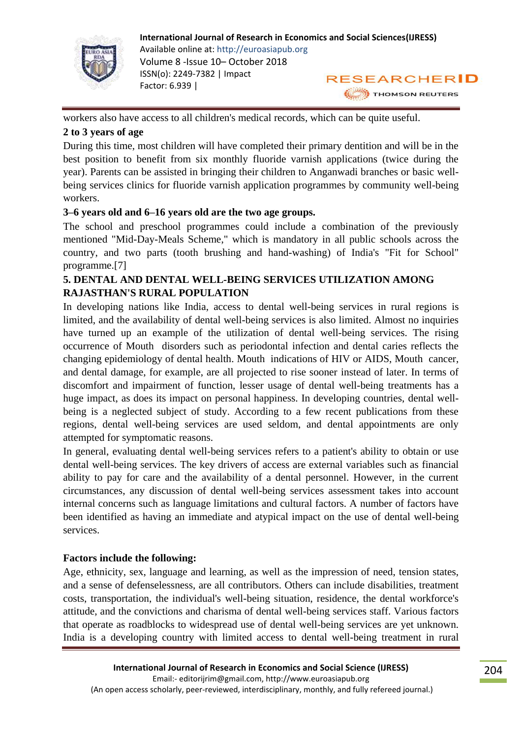

workers also have access to all children's medical records, which can be quite useful.

### **2 to 3 years of age**

During this time, most children will have completed their primary dentition and will be in the best position to benefit from six monthly fluoride varnish applications (twice during the year). Parents can be assisted in bringing their children to Anganwadi branches or basic wellbeing services clinics for fluoride varnish application programmes by community well-being workers.

### **3–6 years old and 6–16 years old are the two age groups.**

The school and preschool programmes could include a combination of the previously mentioned "Mid-Day-Meals Scheme," which is mandatory in all public schools across the country, and two parts (tooth brushing and hand-washing) of India's "Fit for School" programme.[7]

## **5. DENTAL AND DENTAL WELL-BEING SERVICES UTILIZATION AMONG RAJASTHAN'S RURAL POPULATION**

In developing nations like India, access to dental well-being services in rural regions is limited, and the availability of dental well-being services is also limited. Almost no inquiries have turned up an example of the utilization of dental well-being services. The rising occurrence of Mouth disorders such as periodontal infection and dental caries reflects the changing epidemiology of dental health. Mouth indications of HIV or AIDS, Mouth cancer, and dental damage, for example, are all projected to rise sooner instead of later. In terms of discomfort and impairment of function, lesser usage of dental well-being treatments has a huge impact, as does its impact on personal happiness. In developing countries, dental wellbeing is a neglected subject of study. According to a few recent publications from these regions, dental well-being services are used seldom, and dental appointments are only attempted for symptomatic reasons.

In general, evaluating dental well-being services refers to a patient's ability to obtain or use dental well-being services. The key drivers of access are external variables such as financial ability to pay for care and the availability of a dental personnel. However, in the current circumstances, any discussion of dental well-being services assessment takes into account internal concerns such as language limitations and cultural factors. A number of factors have been identified as having an immediate and atypical impact on the use of dental well-being services.

## **Factors include the following:**

Age, ethnicity, sex, language and learning, as well as the impression of need, tension states, and a sense of defenselessness, are all contributors. Others can include disabilities, treatment costs, transportation, the individual's well-being situation, residence, the dental workforce's attitude, and the convictions and charisma of dental well-being services staff. Various factors that operate as roadblocks to widespread use of dental well-being services are yet unknown. India is a developing country with limited access to dental well-being treatment in rural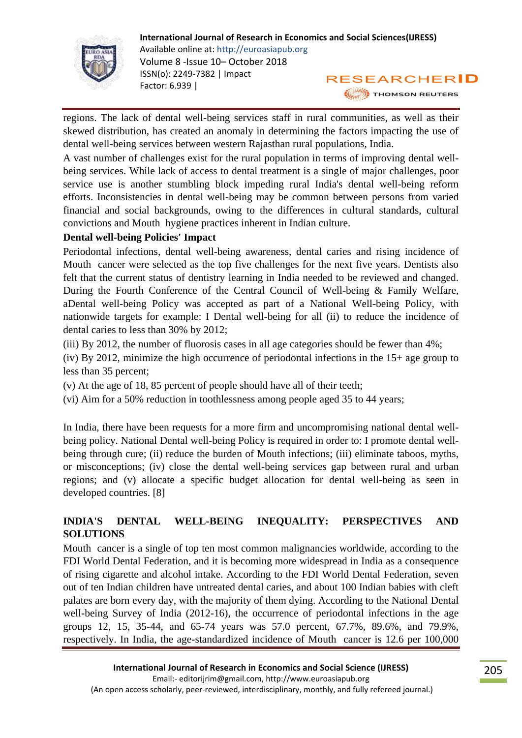

regions. The lack of dental well-being services staff in rural communities, as well as their skewed distribution, has created an anomaly in determining the factors impacting the use of dental well-being services between western Rajasthan rural populations, India.

A vast number of challenges exist for the rural population in terms of improving dental wellbeing services. While lack of access to dental treatment is a single of major challenges, poor service use is another stumbling block impeding rural India's dental well-being reform efforts. Inconsistencies in dental well-being may be common between persons from varied financial and social backgrounds, owing to the differences in cultural standards, cultural convictions and Mouth hygiene practices inherent in Indian culture.

### **Dental well-being Policies' Impact**

Periodontal infections, dental well-being awareness, dental caries and rising incidence of Mouth cancer were selected as the top five challenges for the next five years. Dentists also felt that the current status of dentistry learning in India needed to be reviewed and changed. During the Fourth Conference of the Central Council of Well-being & Family Welfare, aDental well-being Policy was accepted as part of a National Well-being Policy, with nationwide targets for example: I Dental well-being for all (ii) to reduce the incidence of dental caries to less than 30% by 2012;

(iii) By 2012, the number of fluorosis cases in all age categories should be fewer than 4%;

(iv) By 2012, minimize the high occurrence of periodontal infections in the 15+ age group to less than 35 percent;

(v) At the age of 18, 85 percent of people should have all of their teeth;

(vi) Aim for a 50% reduction in toothlessness among people aged 35 to 44 years;

In India, there have been requests for a more firm and uncompromising national dental wellbeing policy. National Dental well-being Policy is required in order to: I promote dental wellbeing through cure; (ii) reduce the burden of Mouth infections; (iii) eliminate taboos, myths, or misconceptions; (iv) close the dental well-being services gap between rural and urban regions; and (v) allocate a specific budget allocation for dental well-being as seen in developed countries. [8]

# **INDIA'S DENTAL WELL-BEING INEQUALITY: PERSPECTIVES AND SOLUTIONS**

Mouth cancer is a single of top ten most common malignancies worldwide, according to the FDI World Dental Federation, and it is becoming more widespread in India as a consequence of rising cigarette and alcohol intake. According to the FDI World Dental Federation, seven out of ten Indian children have untreated dental caries, and about 100 Indian babies with cleft palates are born every day, with the majority of them dying. According to the National Dental well-being Survey of India (2012-16), the occurrence of periodontal infections in the age groups 12, 15, 35-44, and 65-74 years was 57.0 percent, 67.7%, 89.6%, and 79.9%, respectively. In India, the age-standardized incidence of Mouth cancer is 12.6 per 100,000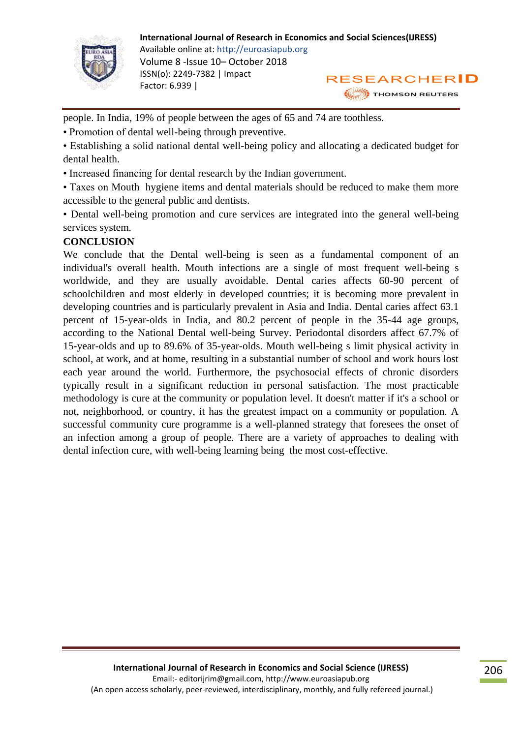

people. In India, 19% of people between the ages of 65 and 74 are toothless.

• Promotion of dental well-being through preventive.

• Establishing a solid national dental well-being policy and allocating a dedicated budget for dental health.

• Increased financing for dental research by the Indian government.

• Taxes on Mouth hygiene items and dental materials should be reduced to make them more accessible to the general public and dentists.

• Dental well-being promotion and cure services are integrated into the general well-being services system.

#### **CONCLUSION**

We conclude that the Dental well-being is seen as a fundamental component of an individual's overall health. Mouth infections are a single of most frequent well-being s worldwide, and they are usually avoidable. Dental caries affects 60-90 percent of schoolchildren and most elderly in developed countries; it is becoming more prevalent in developing countries and is particularly prevalent in Asia and India. Dental caries affect 63.1 percent of 15-year-olds in India, and 80.2 percent of people in the 35-44 age groups, according to the National Dental well-being Survey. Periodontal disorders affect 67.7% of 15-year-olds and up to 89.6% of 35-year-olds. Mouth well-being s limit physical activity in school, at work, and at home, resulting in a substantial number of school and work hours lost each year around the world. Furthermore, the psychosocial effects of chronic disorders typically result in a significant reduction in personal satisfaction. The most practicable methodology is cure at the community or population level. It doesn't matter if it's a school or not, neighborhood, or country, it has the greatest impact on a community or population. A successful community cure programme is a well-planned strategy that foresees the onset of an infection among a group of people. There are a variety of approaches to dealing with dental infection cure, with well-being learning being the most cost-effective.